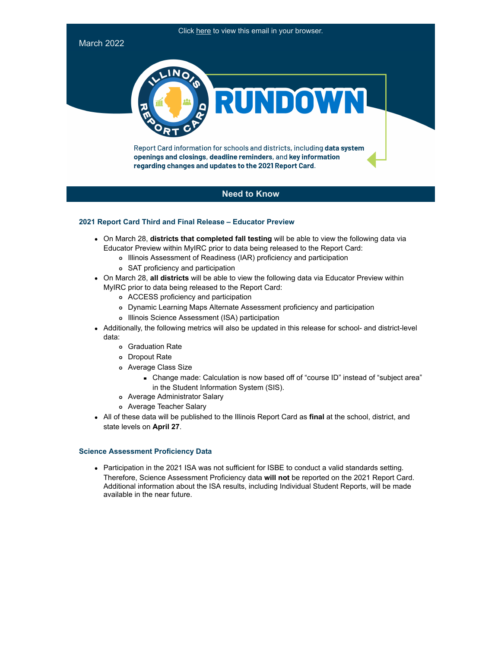# Click here to view this email in your browser. March 2022 **IN**  $\overline{O}$ RUNDOW Report Card information for schools and districts, including data system openings and closings, deadline reminders, and key information

# **Need to Know**

# **2021 Report Card Third and Final Release – Educator Preview**

- On March 28, **districts that completed fall testing** will be able to view the following data via Educator Preview within MyIRC prior to data being released to the Report Card:
	- Illinois Assessment of Readiness (IAR) proficiency and participation

regarding changes and updates to the 2021 Report Card.

- SAT proficiency and participation
- On March 28, **all districts** will be able to view the following data via Educator Preview within MyIRC prior to data being released to the Report Card:
	- ACCESS proficiency and participation
	- Dynamic Learning Maps Alternate Assessment proficiency and participation
	- Illinois Science Assessment (ISA) participation
- Additionally, the following metrics will also be updated in this release for school- and district-level data:
	- Graduation Rate
	- Dropout Rate
	- Average Class Size
		- Change made: Calculation is now based off of "course ID" instead of "subject area" in the Student Information System (SIS).
	- Average Administrator Salary
	- Average Teacher Salary
- All of these data will be published to the Illinois Report Card as **final** at the school, district, and state levels on **April 27**.

# **Science Assessment Proficiency Data**

Participation in the 2021 ISA was not sufficient for ISBE to conduct a valid standards setting. Therefore, Science Assessment Proficiency data **will not** be reported on the 2021 Report Card. Additional information about the ISA results, including Individual Student Reports, will be made available in the near future.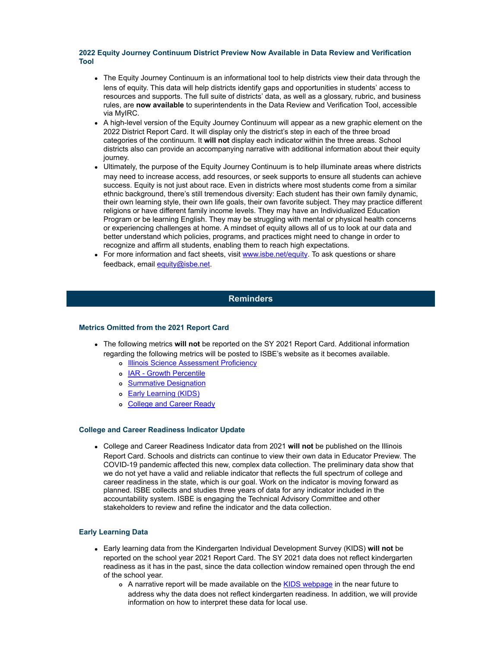## **2022 Equity Journey Continuum District Preview Now Available in Data Review and Verification Tool**

- The Equity Journey Continuum is an informational tool to help districts view their data through the lens of equity. This data will help districts identify gaps and opportunities in students' access to resources and supports. The full suite of districts' data, as well as a glossary, rubric, and business rules, are **now available** to superintendents in the Data Review and Verification Tool, accessible via MyIRC.
- A high-level version of the Equity Journey Continuum will appear as a new graphic element on the 2022 District Report Card. It will display only the district's step in each of the three broad categories of the continuum. It **will not** display each indicator within the three areas. School districts also can provide an accompanying narrative with additional information about their equity journey.
- Ultimately, the purpose of the Equity Journey Continuum is to help illuminate areas where districts may need to increase access, add resources, or seek supports to ensure all students can achieve success. Equity is not just about race. Even in districts where most students come from a similar ethnic background, there's still tremendous diversity: Each student has their own family dynamic, their own learning style, their own life goals, their own favorite subject. They may practice different religions or have different family income levels. They may have an Individualized Education Program or be learning English. They may be struggling with mental or physical health concerns or experiencing challenges at home. A mindset of equity allows all of us to look at our data and better understand which policies, programs, and practices might need to change in order to recognize and affirm all students, enabling them to reach high expectations.
- For more information and fact sheets, visit [www.isbe.net/equity](http://link.isbe.net/c/7/eyJhaSI6OTAyMDg4NDQsImUiOiJkZmFuZ21laUBpc2JlLm5ldCIsInJpIjoiY29udGFjdC0zN2I3OGQyOGUzYjdlYjExODIzNjAwMGQzYTVhNTU4ZS0yNTAzMmI2ZjYxYWI0MDE2YTViNGRiYmIyY2NlZWNkMSIsInJxIjoiMDItYjIyMDc0LTc3YjQ3MzczMDY5OTRmMTk4YmUzYWI3NTY2MmI1OWU0IiwicGgiOm51bGwsIm0iOnRydWUsInVpIjoiMiIsInVuIjoiIiwidSI6Imh0dHA6Ly93d3cuaXNiZS5uZXQvZXF1aXR5P19jbGRlZT1aR1poYm1kdFpXbEFhWE5pWlM1dVpYUSUzZCZyZWNpcGllbnRpZD1jb250YWN0LTM3Yjc4ZDI4ZTNiN2ViMTE4MjM2MDAwZDNhNWE1NThlLTI1MDMyYjZmNjFhYjQwMTZhNWI0ZGJiYjJjY2VlY2QxJmVzaWQ9YTc5MmNiZDItYTRhMy1lYzExLTk4M2YtMDAwZDNhNWM4ODBjIn0/e55-m48cI2IHBt91hKP2uA). To ask questions or share feedback, email [equity@isbe.net.](mailto:equity@isbe.net)

# **Reminders**

# **Metrics Omitted from the 2021 Report Card**

- The following metrics **will not** be reported on the SY 2021 Report Card. Additional information regarding the following metrics will be posted to ISBE's website as it becomes available.
	- o **[Illinois Science Assessment Proficiency](https://www.isbe.net/ISA)**
	- o [IAR Growth Percentile](https://www.isbe.net/iar)
	- [Summative Designation](https://www.isbe.net/summative)
	- o **[Early Learning \(KIDS\)](https://www.isbe.net/Pages/KIDS-Data.aspx)**
	- o [College and Career Ready](https://www.isbe.net/Pages/Accountability-Indicators.aspx)

# **College and Career Readiness Indicator Update**

College and Career Readiness Indicator data from 2021 **will not** be published on the Illinois Report Card. Schools and districts can continue to view their own data in Educator Preview. The COVID-19 pandemic affected this new, complex data collection. The preliminary data show that we do not yet have a valid and reliable indicator that reflects the full spectrum of college and career readiness in the state, which is our goal. Work on the indicator is moving forward as planned. ISBE collects and studies three years of data for any indicator included in the accountability system. ISBE is engaging the Technical Advisory Committee and other stakeholders to review and refine the indicator and the data collection.

# **Early Learning Data**

- Early learning data from the Kindergarten Individual Development Survey (KIDS) **will not** be reported on the school year 2021 Report Card. The SY 2021 data does not reflect kindergarten readiness as it has in the past, since the data collection window remained open through the end of the school year.
	- o A narrative report will be made available on the [KIDS webpage](https://www.isbe.net/Pages/KIDS-Data.aspx) in the near future to address why the data does not reflect kindergarten readiness. In addition, we will provide information on how to interpret these data for local use.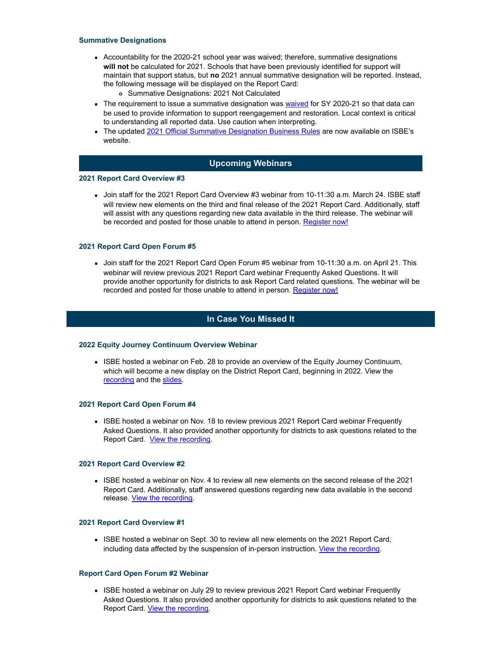## **Summative Designations**

- Accountability for the 2020-21 school year was waived; therefore, summative designations **will not** be calculated for 2021. Schools that have been previously identified for support will maintain that support status, but **no** 2021 annual summative designation will be reported. Instead, the following message will be displayed on the Report Card:
	- Summative Designations: 2021 Not Calculated
- The requirement to issue a summative designation was [waived](http://link.isbe.net/c/7/eyJhaSI6OTAyMDg4NDQsImUiOiJkZmFuZ21laUBpc2JlLm5ldCIsInJpIjoiY29udGFjdC0zN2I3OGQyOGUzYjdlYjExODIzNjAwMGQzYTVhNTU4ZS0yNTAzMmI2ZjYxYWI0MDE2YTViNGRiYmIyY2NlZWNkMSIsInJxIjoiMDItYjIyMDc0LTc3YjQ3MzczMDY5OTRmMTk4YmUzYWI3NTY2MmI1OWU0IiwicGgiOm51bGwsIm0iOnRydWUsInVpIjoiOSIsInVuIjoiIiwidSI6Imh0dHBzOi8vd3d3LmlzYmUubmV0L0RvY3VtZW50cy9pbC1hY2N0LXdhaXZlci1yZXNwb25zZS5wZGY_X2NsZGVlPVpHWmhibWR0WldsQWFYTmlaUzV1WlhRJTNkJnJlY2lwaWVudGlkPWNvbnRhY3QtMzdiNzhkMjhlM2I3ZWIxMTgyMzYwMDBkM2E1YTU1OGUtMjUwMzJiNmY2MWFiNDAxNmE1YjRkYmJiMmNjZWVjZDEmZXNpZD1hNzkyY2JkMi1hNGEzLWVjMTEtOTgzZi0wMDBkM2E1Yzg4MGMifQ/00kx78Kvdvs2-GcBks_cLA) for SY 2020-21 so that data can be used to provide information to support reengagement and restoration. Local context is critical to understanding all reported data. Use caution when interpreting.
- The updated [2021 Official Summative Designation Business Rules](http://link.isbe.net/c/7/eyJhaSI6OTAyMDg4NDQsImUiOiJkZmFuZ21laUBpc2JlLm5ldCIsInJpIjoiY29udGFjdC0zN2I3OGQyOGUzYjdlYjExODIzNjAwMGQzYTVhNTU4ZS0yNTAzMmI2ZjYxYWI0MDE2YTViNGRiYmIyY2NlZWNkMSIsInJxIjoiMDItYjIyMDc0LTc3YjQ3MzczMDY5OTRmMTk4YmUzYWI3NTY2MmI1OWU0IiwicGgiOm51bGwsIm0iOnRydWUsInVpIjoiMTAiLCJ1biI6IiIsInUiOiJodHRwczovL3d3dy5pc2JlLm5ldC9Eb2N1bWVudHMvU3VtbWF0aXZlLURlc2lnbmF0aW9uLUJ1cy1SdWxlcy5wZGY_X2NsZGVlPVpHWmhibWR0WldsQWFYTmlaUzV1WlhRJTNkJnJlY2lwaWVudGlkPWNvbnRhY3QtMzdiNzhkMjhlM2I3ZWIxMTgyMzYwMDBkM2E1YTU1OGUtMjUwMzJiNmY2MWFiNDAxNmE1YjRkYmJiMmNjZWVjZDEmZXNpZD1hNzkyY2JkMi1hNGEzLWVjMTEtOTgzZi0wMDBkM2E1Yzg4MGMifQ/Trg_Z_75smZPAgGwiG7qjg) are now available on ISBE's website.

# **Upcoming Webinars**

#### **2021 Report Card Overview #3**

Join staff for the 2021 Report Card Overview #3 webinar from 10-11:30 a.m. March 24. ISBE staff will review new elements on the third and final release of the 2021 Report Card. Additionally, staff will assist with any questions regarding new data available in the third release. The webinar will be recorded and posted for those unable to attend in person. [Register now!](http://link.isbe.net/c/7/eyJhaSI6OTAyMDg4NDQsImUiOiJkZmFuZ21laUBpc2JlLm5ldCIsInJpIjoiY29udGFjdC0zN2I3OGQyOGUzYjdlYjExODIzNjAwMGQzYTVhNTU4ZS0yNTAzMmI2ZjYxYWI0MDE2YTViNGRiYmIyY2NlZWNkMSIsInJxIjoiMDItYjIyMDc0LTc3YjQ3MzczMDY5OTRmMTk4YmUzYWI3NTY2MmI1OWU0IiwicGgiOm51bGwsIm0iOnRydWUsInVpIjoiMTEiLCJ1biI6IiIsInUiOiJodHRwczovL3JlZ2lzdGVyLmdvdG93ZWJpbmFyLmNvbS9yZWdpc3Rlci8yODQwNDkwODU1MjU5OTgzNjMxP19jbGRlZT1aR1poYm1kdFpXbEFhWE5pWlM1dVpYUSUzZCZyZWNpcGllbnRpZD1jb250YWN0LTM3Yjc4ZDI4ZTNiN2ViMTE4MjM2MDAwZDNhNWE1NThlLTI1MDMyYjZmNjFhYjQwMTZhNWI0ZGJiYjJjY2VlY2QxJmVzaWQ9YTc5MmNiZDItYTRhMy1lYzExLTk4M2YtMDAwZDNhNWM4ODBjIn0/-eZiTqTw8cUGKRWBg4scHw)

## **2021 Report Card Open Forum #5**

Join staff for the 2021 Report Card Open Forum #5 webinar from 10-11:30 a.m. on April 21. This webinar will review previous 2021 Report Card webinar Frequently Asked Questions. It will provide another opportunity for districts to ask Report Card related questions. The webinar will be recorded and posted for those unable to attend in person. [Register now!](http://link.isbe.net/c/7/eyJhaSI6OTAyMDg4NDQsImUiOiJkZmFuZ21laUBpc2JlLm5ldCIsInJpIjoiY29udGFjdC0zN2I3OGQyOGUzYjdlYjExODIzNjAwMGQzYTVhNTU4ZS0yNTAzMmI2ZjYxYWI0MDE2YTViNGRiYmIyY2NlZWNkMSIsInJxIjoiMDItYjIyMDc0LTc3YjQ3MzczMDY5OTRmMTk4YmUzYWI3NTY2MmI1OWU0IiwicGgiOm51bGwsIm0iOnRydWUsInVpIjoiMTIiLCJ1biI6IiIsInUiOiJodHRwczovL3JlZ2lzdGVyLmdvdG93ZWJpbmFyLmNvbS9yZWdpc3Rlci8xMDg0NDExMzU2NjQ4MzkwNDEyP19jbGRlZT1aR1poYm1kdFpXbEFhWE5pWlM1dVpYUSUzZCZyZWNpcGllbnRpZD1jb250YWN0LTM3Yjc4ZDI4ZTNiN2ViMTE4MjM2MDAwZDNhNWE1NThlLTI1MDMyYjZmNjFhYjQwMTZhNWI0ZGJiYjJjY2VlY2QxJmVzaWQ9YTc5MmNiZDItYTRhMy1lYzExLTk4M2YtMDAwZDNhNWM4ODBjIn0/KZwOhdRu6sZr6vH4hHZ1Og)

# **In Case You Missed It**

## **2022 Equity Journey Continuum Overview Webinar**

• ISBE hosted a webinar on Feb. 28 to provide an overview of the Equity Journey Continuum, which will become a new display on the District Report Card, beginning in 2022. View the [recording](https://register.gotowebinar.com/recording/5735672096922279169) and the [slides](https://www.isbe.net/Documents/Equity-Journey-Continuum-Webinar-20220228.pdf).

## **2021 Report Card Open Forum #4**

• ISBE hosted a webinar on Nov. 18 to review previous 2021 Report Card webinar Frequently Asked Questions. It also provided another opportunity for districts to ask questions related to the Report Card. [View the recording.](https://register.gotowebinar.com/recording/7215223319510464513)

## **2021 Report Card Overview #2**

ISBE hosted a webinar on Nov. 4 to review all new elements on the second release of the 2021 Report Card. Additionally, staff answered questions regarding new data available in the second release. [View the recording.](https://register.gotowebinar.com/recording/8606992834220145409)

# **2021 Report Card Overview #1**

• ISBE hosted a webinar on Sept. 30 to review all new elements on the 2021 Report Card, including data affected by the suspension of in-person instruction. [View the recording](https://register.gotowebinar.com/recording/6467082621538491138).

## **Report Card Open Forum #2 Webinar**

• ISBE hosted a webinar on July 29 to review previous 2021 Report Card webinar Frequently Asked Questions. It also provided another opportunity for districts to ask questions related to the Report Card. [View the recording](https://register.gotowebinar.com/recording/5611045747712013570).